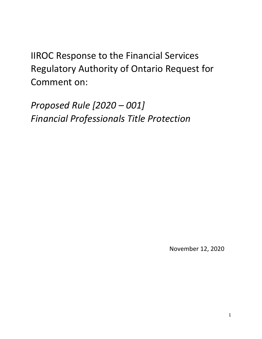IIROC Response to the Financial Services Regulatory Authority of Ontario Request for Comment on:

*Proposed Rule [2020 – 001] Financial Professionals Title Protection*

November 12, 2020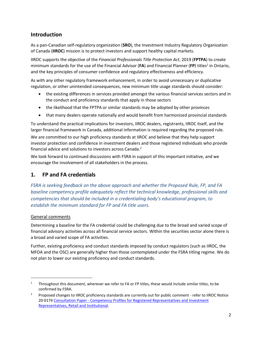# **Introduction**

As a pan-Canadian self-regulatory organization (**SRO**), the Investment Industry Regulatory Organization of Canada (**IIROC**) mission is to protect investors and support healthy capital markets.

IIROC supports the objective of the *Financial Professionals Title Protection Act*, 2019 (**FPTPA**) to create minimum standards for the use of the Financial Advisor (FA) and Financial Planner (FP) titles<sup>1</sup> in Ontario, and the key principles of consumer confidence and regulatory effectiveness and efficiency.

As with any other regulatory framework enhancement, in order to avoid unnecessary or duplicative regulation, or other unintended consequences, new minimum title usage standards should consider:

- the existing differences in services provided amongst the various financial services sectors and in the conduct and proficiency standards that apply in those sectors
- the likelihood that the FPTPA or similar standards may be adopted by other provinces
- that many dealers operate nationally and would benefit from harmonized provincial standards

To understand the practical implications for investors, IIROC dealers, registrants, IIROC itself, and the larger financial framework in Canada, additional information is required regarding the proposed rule.

We are committed to our high proficiency standards at IIROC and believe that they help support investor protection and confidence in investment dealers and those registered individuals who provide financial advice and solutions to investors across Canada.<sup>2</sup>

We look forward to continued discussions with FSRA in support of this important initiative, and we encourage the involvement of all stakeholders in the process.

## **1. FP and FA credentials**

*FSRA is seeking feedback on the above approach and whether the Proposed Rule, FP, and FA baseline competency profile adequately reflect the technical knowledge, professional skills and competencies that should be included in a credentialing body's educational program, to establish the minimum standard for FP and FA title users.*

### General comments

 $\overline{a}$ 

Determining a baseline for the FA credential could be challenging due to the broad and varied scope of financial advisory activities across all financial service sectors. Within the securities sector alone there is a broad and varied scope of FA activities.

Further, existing proficiency and conduct standards imposed by conduct regulators (such as IIROC, the MFDA and the OSC) are generally higher than those contemplated under the FSRA titling regime. We do not plan to lower our existing proficiency and conduct standards.

<sup>&</sup>lt;sup>1</sup> Throughout this document, wherever we refer to FA or FP titles, these would include similar titles, to be confirmed by FSRA.

<sup>&</sup>lt;sup>2</sup> Proposed changes to IIROC proficiency standards are currently out for public comment - refer to IIROC Notice 20-0174 Consultation Paper - [Competency Profiles for Registered Representatives and Investment](https://www.iiroc.ca/Documents/2020/00155455-1cf6-487c-be85-70c563ce922f_en.pdf)  [Representatives, Retail and Institutional.](https://www.iiroc.ca/Documents/2020/00155455-1cf6-487c-be85-70c563ce922f_en.pdf)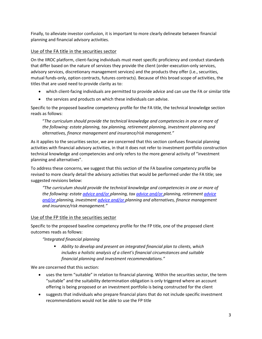Finally, to alleviate investor confusion, it is important to more clearly delineate between financial planning and financial advisory activities.

### Use of the FA title in the securities sector

On the IIROC platform, client-facing individuals must meet specific proficiency and conduct standards that differ based on the nature of services they provide the client (order-execution-only services, advisory services, discretionary management services) and the products they offer (i.e., securities, mutual funds-only, option contracts, futures contracts). Because of this broad scope of activities, the titles that are used need to provide clarity as to:

- which client-facing individuals are permitted to provide advice and can use the FA or similar title
- the services and products on which these individuals can advise.

Specific to the proposed baseline competency profile for the FA title, the technical knowledge section reads as follows:

"*The curriculum should provide the technical knowledge and competencies in one or more of the following: estate planning, tax planning, retirement planning, investment planning and alternatives, finance management and insurance/risk management."*

As it applies to the securities sector, we are concerned that this section confuses financial planning activities with financial advisory activities, in that it does not refer to investment portfolio construction technical knowledge and competencies and only refers to the more general activity of "investment planning and alternatives".

To address these concerns, we suggest that this section of the FA baseline competency profile be revised to more clearly detail the advisory activities that would be performed under the FA title; see suggested revisions below:

*"The curriculum should provide the technical knowledge and competencies in one or more of the following: estate advice and/or planning, tax advice and/or planning, retirement advice and/or planning, investment advice and/or planning and alternatives, finance management and insurance/risk management."*

#### Use of the FP title in the securities sector

Specific to the proposed baseline competency profile for the FP title, one of the proposed client outcomes reads as follows:

*"Integrated financial planning*

 *Ability to develop and present an integrated financial plan to clients, which includes a holistic analysis of a client's financial circumstances and suitable financial planning and investment recommendations."*

We are concerned that this section:

- uses the term "suitable" in relation to financial planning. Within the securities sector, the term "suitable" and the suitability determination obligation is only triggered where an account offering is being proposed or an investment portfolio is being constructed for the client
- suggests that individuals who prepare financial plans that do not include specific investment recommendations would not be able to use the FP title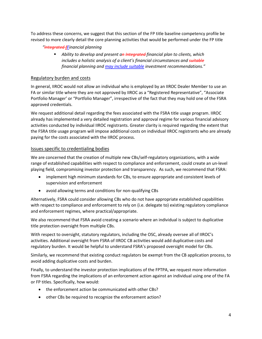To address these concerns, we suggest that this section of the FP title baseline competency profile be revised to more clearly detail the core planning activities that would be performed under the FP title

- *"Integrated fFinancial planning*
	- *Ability to develop and present an Integrated financial plan to clients, which includes a holistic analysis of a client's financial circumstances and suitable financial planning and may include suitable investment recommendations."*

#### Regulatory burden and costs

In general, IIROC would not allow an individual who is employed by an IIROC Dealer Member to use an FA or similar title where they are not approved by IIROC as a "Registered Representative", "Associate Portfolio Manager' or "Portfolio Manager", irrespective of the fact that they may hold one of the FSRA approved credentials.

We request additional detail regarding the fees associated with the FSRA title usage program. IIROC already has implemented a very detailed registration and approval regime for various financial advisory activities conducted by individual IIROC registrants. Greater clarity is required regarding the extent that the FSRA title usage program will impose additional costs on individual IIROC registrants who are already paying for the costs associated with the IIROC process.

#### Issues specific to credentialing bodies

We are concerned that the creation of multiple new CBs/self-regulatory organizations, with a wide range of established capabilities with respect to compliance and enforcement, could create an un-level playing field, compromising investor protection and transparency. As such, we recommend that FSRA:

- implement high minimum standards for CBs, to ensure appropriate and consistent levels of supervision and enforcement
- avoid allowing terms and conditions for non-qualifying CBs

Alternatively, FSRA could consider allowing CBs who do not have appropriate established capabilities with respect to compliance and enforcement to rely on (i.e. delegate to) existing regulatory compliance and enforcement regimes, where practical/appropriate.

We also recommend that FSRA avoid creating a scenario where an individual is subject to duplicative title protection oversight from multiple CBs.

With respect to oversight, statutory regulators, including the OSC, already oversee all of IIROC's activities. Additional oversight from FSRA of IIROC CB activities would add duplicative costs and regulatory burden. It would be helpful to understand FSRA's proposed oversight model for CBs.

Similarly, we recommend that existing conduct regulators be exempt from the CB application process, to avoid adding duplicative costs and burden.

Finally, to understand the investor protection implications of the FPTPA, we request more information from FSRA regarding the implications of an enforcement action against an individual using one of the FA or FP titles. Specifically, how would:

- the enforcement action be communicated with other CBs?
- other CBs be required to recognize the enforcement action?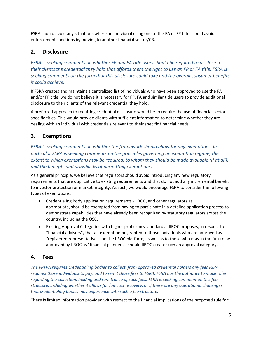FSRA should avoid any situations where an individual using one of the FA or FP titles could avoid enforcement sanctions by moving to another financial sector/CB.

# **2. Disclosure**

*FSRA is seeking comments on whether FP and FA title users should be required to disclose to their clients the credential they hold that affords them the right to use an FP or FA title. FSRA is seeking comments on the form that this disclosure could take and the overall consumer benefits it could achieve.* 

If FSRA creates and maintains a centralized list of individuals who have been approved to use the FA and/or FP title, we do not believe it is necessary for FP, FA and similar title users to provide additional disclosure to their clients of the relevant credential they hold.

A preferred approach to requiring credential disclosure would be to require the use of financial sectorspecific titles. This would provide clients with sufficient information to determine whether they are dealing with an individual with credentials relevant to their specific financial needs.

# **3. Exemptions**

*FSRA is seeking comments on whether the framework should allow for any exemptions. In particular FSRA is seeking comments on the principles governing an exemption regime, the extent to which exemptions may be required, to whom they should be made available (if at all), and the benefits and drawbacks of permitting exemptions*.

As a general principle, we believe that regulators should avoid introducing any new regulatory requirements that are duplicative to existing requirements and that do not add any incremental benefit to investor protection or market integrity. As such, we would encourage FSRA to consider the following types of exemptions:

- Credentialing Body application requirements IIROC, and other regulators as appropriate, should be exempted from having to participate in a detailed application process to demonstrate capabilities that have already been recognized by statutory regulators across the country, including the OSC.
- Existing Approval Categories with higher proficiency standards IIROC proposes, in respect to "financial advisors", that an exemption be granted to those individuals who are approved as "registered representatives" on the IIROC platform, as well as to those who may in the future be approved by IIROC as "financial planners", should IIROC create such an approval category.

## **4. Fees**

*The FPTPA requires credentialing bodies to collect, from approved credential holders any fees FSRA requires those individuals to pay, and to remit those fees to FSRA. FSRA has the authority to make rules regarding the collection, holding and remittance of such fees. FSRA is seeking comment on this fee structure, including whether it allows for fair cost recovery, or if there are any operational challenges that credentialing bodies may experience with such a fee structure.*

There is limited information provided with respect to the financial implications of the proposed rule for: